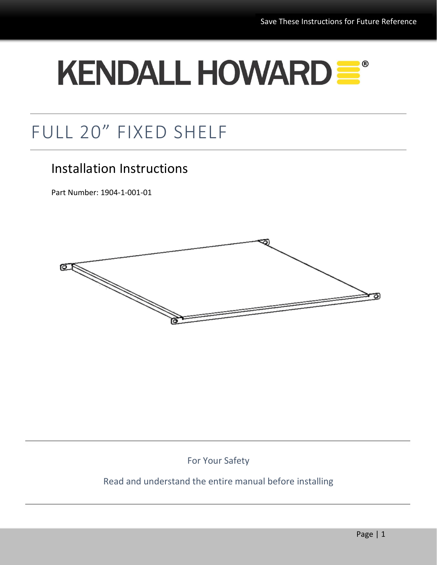# KENDALL HOWARD =

# FULL 20" FIXED SHELF

# Installation Instructions

Part Number: 1904-1-001-01



For Your Safety

#### Read and understand the entire manual before installing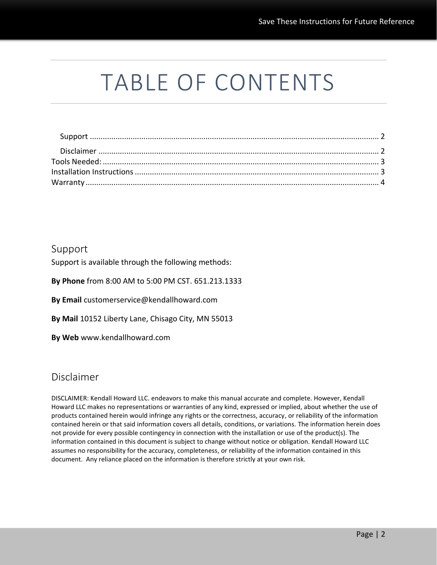# TABLE OF CONTENTS

#### <span id="page-1-0"></span>Support

Support is available through the following methods:

**By Phone** from 8:00 AM to 5:00 PM CST. 651.213.1333

**By Email** customerservice@kendallhoward.com

**By Mail** 10152 Liberty Lane, Chisago City, MN 55013

**By Web** www.kendallhoward.com

#### <span id="page-1-1"></span>Disclaimer

DISCLAIMER: Kendall Howard LLC. endeavors to make this manual accurate and complete. However, Kendall Howard LLC makes no representations or warranties of any kind, expressed or implied, about whether the use of products contained herein would infringe any rights or the correctness, accuracy, or reliability of the information contained herein or that said information covers all details, conditions, or variations. The information herein does not provide for every possible contingency in connection with the installation or use of the product(s). The information contained in this document is subject to change without notice or obligation. Kendall Howard LLC assumes no responsibility for the accuracy, completeness, or reliability of the information contained in this document. Any reliance placed on the information is therefore strictly at your own risk.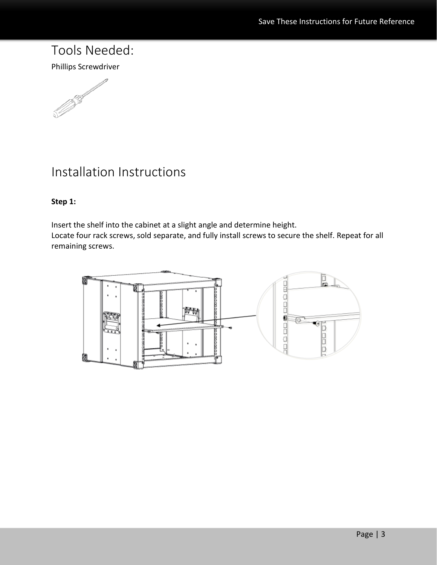## <span id="page-2-0"></span>Tools Needed:

Phillips Screwdriver



# <span id="page-2-1"></span>Installation Instructions

#### **Step 1:**

Insert the shelf into the cabinet at a slight angle and determine height. Locate four rack screws, sold separate, and fully install screws to secure the shelf. Repeat for all remaining screws.